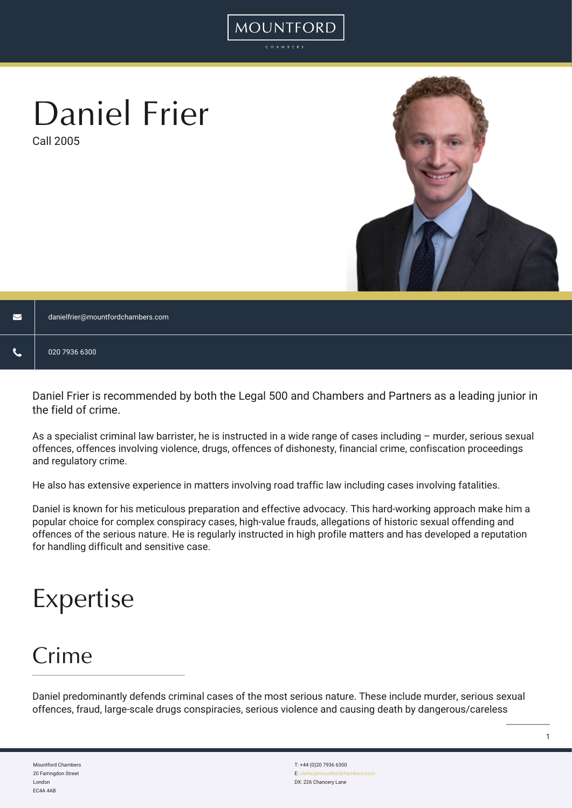# Daniel Frier

Call 2005



| $\blacksquare$ | danielfrier@mountfordchambers.com |
|----------------|-----------------------------------|
| v.             | 020 7936 6300                     |

MOUNTFORD

Daniel Frier is recommended by both the Legal 500 and Chambers and Partners as a leading junior in the field of crime.

As a specialist criminal law barrister, he is instructed in a wide range of cases including – murder, serious sexual offences, offences involving violence, drugs, offences of dishonesty, financial crime, confiscation proceedings and regulatory crime.

He also has extensive experience in matters involving road traffic law including cases involving fatalities.

Daniel is known for his meticulous preparation and effective advocacy. This hard-working approach make him a popular choice for complex conspiracy cases, high-value frauds, allegations of historic sexual offending and offences of the serious nature. He is regularly instructed in high profile matters and has developed a reputation for handling difficult and sensitive case.

## Expertise

### Crime

Daniel predominantly defends criminal cases of the most serious nature. These include murder, serious sexual offences, fraud, large-scale drugs conspiracies, serious violence and causing death by dangerous/careless

Mountford Chambers 20 Farringdon Street London EC4A 4AB

T: +44 (0)20 7936 6300 E: cle DX: 226 Chancery Lane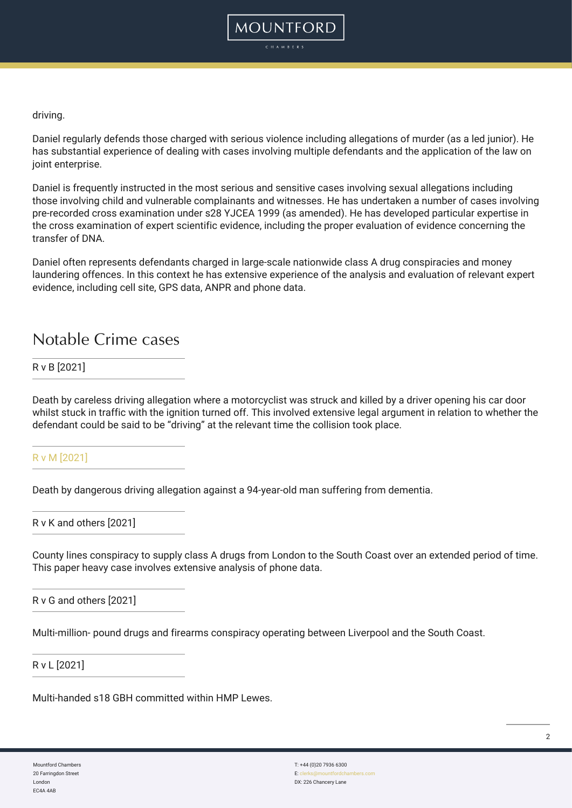

driving.

Daniel regularly defends those charged with serious violence including allegations of murder (as a led junior). He has substantial experience of dealing with cases involving multiple defendants and the application of the law on joint enterprise.

Daniel is frequently instructed in the most serious and sensitive cases involving sexual allegations including those involving child and vulnerable complainants and witnesses. He has undertaken a number of cases involving pre-recorded cross examination under s28 YJCEA 1999 (as amended). He has developed particular expertise in the cross examination of expert scientific evidence, including the proper evaluation of evidence concerning the transfer of DNA.

Daniel often represents defendants charged in large-scale nationwide class A drug conspiracies and money laundering offences. In this context he has extensive experience of the analysis and evaluation of relevant expert evidence, including cell site, GPS data, ANPR and phone data.

### Notable Crime cases

### R v B [2021]

Death by careless driving allegation where a motorcyclist was struck and killed by a driver opening his car door whilst stuck in traffic with the ignition turned off. This involved extensive legal argument in relation to whether the defendant could be said to be "driving" at the relevant time the collision took place.

[R v M \[2021\]](https://www.bbc.co.uk/news/uk-england-sussex-53505950)

Death by dangerous driving allegation against a 94-year-old man suffering from dementia.

R v K and others [2021]

County lines conspiracy to supply class A drugs from London to the South Coast over an extended period of time. This paper heavy case involves extensive analysis of phone data.

R v G and others [2021]

Multi-million- pound drugs and firearms conspiracy operating between Liverpool and the South Coast.

R v L [2021]

Multi-handed s18 GBH committed within HMP Lewes.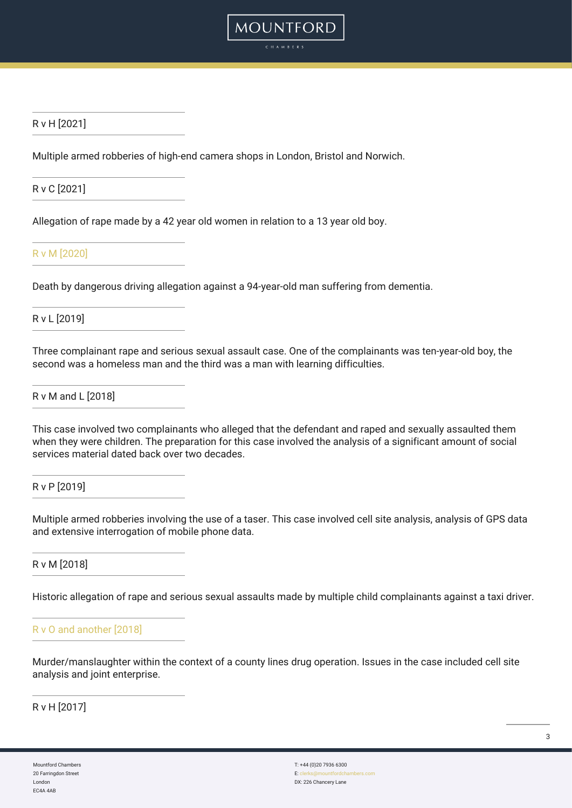

### R v H [2021]

Multiple armed robberies of high-end camera shops in London, Bristol and Norwich.

R v C [2021]

Allegation of rape made by a 42 year old women in relation to a 13 year old boy.

[R v M \[2020\]](https://www.bbc.co.uk/news/uk-england-sussex-53505950)

Death by dangerous driving allegation against a 94-year-old man suffering from dementia.

R v L [2019]

Three complainant rape and serious sexual assault case. One of the complainants was ten-year-old boy, the second was a homeless man and the third was a man with learning difficulties.

R v M and L [2018]

This case involved two complainants who alleged that the defendant and raped and sexually assaulted them when they were children. The preparation for this case involved the analysis of a significant amount of social services material dated back over two decades.

R v P [2019]

Multiple armed robberies involving the use of a taser. This case involved cell site analysis, analysis of GPS data and extensive interrogation of mobile phone data.

R v M [2018]

Historic allegation of rape and serious sexual assaults made by multiple child complainants against a taxi driver.

### [R v O and another \[2018\]](https://www.bbc.co.uk/news/uk-england-sussex-44832071)

Murder/manslaughter within the context of a county lines drug operation. Issues in the case included cell site analysis and joint enterprise.

R v H [2017]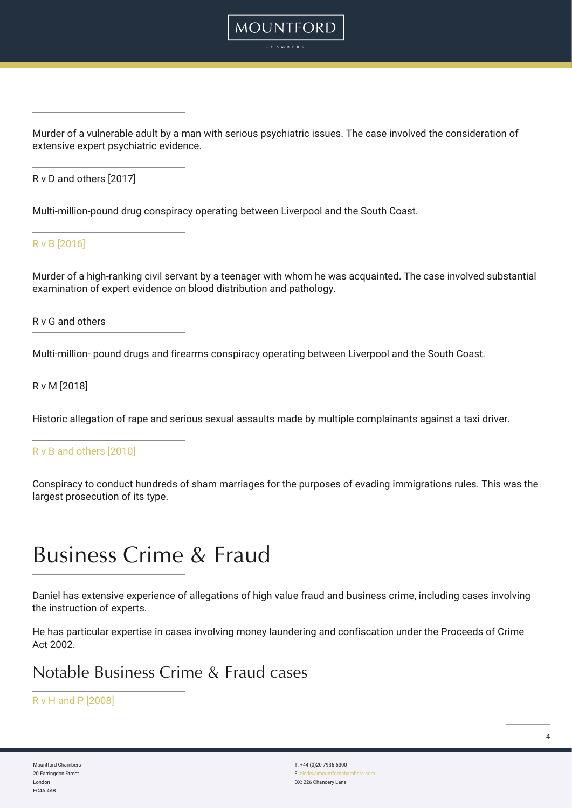Murder of a vulnerable adult by a man with serious psychiatric issues. The case involved the consideration of extensive expert psychiatric evidence.

MOUNTFORD

R v D and others [2017]

Multi-million-pound drug conspiracy operating between Liverpool and the South Coast.

[R v B \[2016\]](https://www.theguardian.com/uk-news/2016/nov/23/teenager-ben-bamford-jailed-murder-civil-servant-paul-jefferies)

Murder of a high-ranking civil servant by a teenager with whom he was acquainted. The case involved substantial examination of expert evidence on blood distribution and pathology.

R v G and others

Multi-million- pound drugs and firearms conspiracy operating between Liverpool and the South Coast.

R v M [2018]

Historic allegation of rape and serious sexual assaults made by multiple complainants against a taxi driver.

[R v B and others \[2010\]](https://www.theguardian.com/uk/2010/jul/29/vicar-convicted-fake-marriages)

Conspiracy to conduct hundreds of sham marriages for the purposes of evading immigrations rules. This was the largest prosecution of its type.

### Business Crime & Fraud

Daniel has extensive experience of allegations of high value fraud and business crime, including cases involving the instruction of experts.

He has particular expertise in cases involving money laundering and confiscation under the Proceeds of Crime Act 2002.

Notable Business Crime & Fraud cases

[R v H and P \[2008\]](https://www.theargus.co.uk/news/3648995.hellingly-fraud-asylum-empty-for-two-decades/)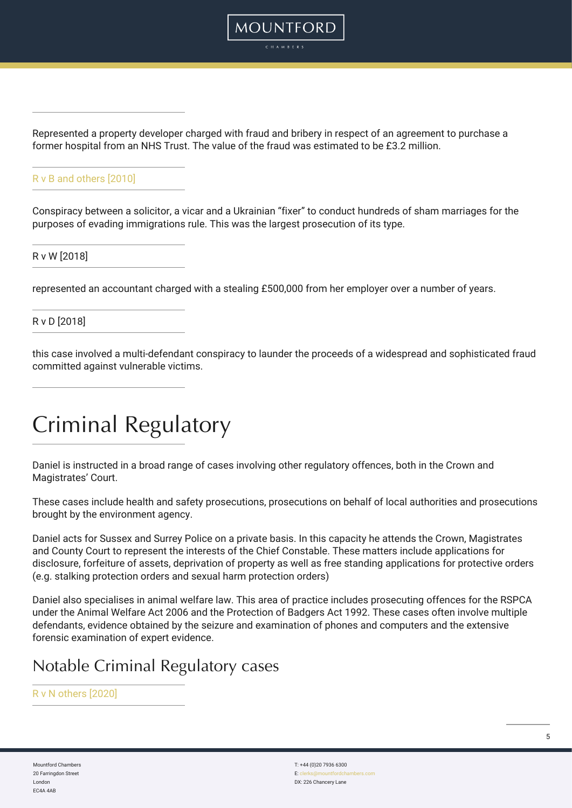

MOUNTFORD

### [R v B and others \[2010\]](https://www.theguardian.com/uk/2010/jul/29/vicar-convicted-fake-marriages)

Conspiracy between a solicitor, a vicar and a Ukrainian "fixer" to conduct hundreds of sham marriages for the purposes of evading immigrations rule. This was the largest prosecution of its type.

R v W [2018]

represented an accountant charged with a stealing £500,000 from her employer over a number of years.

R v D [2018]

this case involved a multi-defendant conspiracy to launder the proceeds of a widespread and sophisticated fraud committed against vulnerable victims.

### Criminal Regulatory

Daniel is instructed in a broad range of cases involving other regulatory offences, both in the Crown and Magistrates' Court.

These cases include health and safety prosecutions, prosecutions on behalf of local authorities and prosecutions brought by the environment agency.

Daniel acts for Sussex and Surrey Police on a private basis. In this capacity he attends the Crown, Magistrates and County Court to represent the interests of the Chief Constable. These matters include applications for disclosure, forfeiture of assets, deprivation of property as well as free standing applications for protective orders (e.g. stalking protection orders and sexual harm protection orders)

Daniel also specialises in animal welfare law. This area of practice includes prosecuting offences for the RSPCA under the Animal Welfare Act 2006 and the Protection of Badgers Act 1992. These cases often involve multiple defendants, evidence obtained by the seizure and examination of phones and computers and the extensive forensic examination of expert evidence.

### Notable Criminal Regulatory cases

#### [R v N others \[2020\]](https://www.kentlive.news/news/kent-news/sickening-video-shows-dog-owner-4548720)

Mountford Chambers 20 Farringdon Street London EC4A 4AB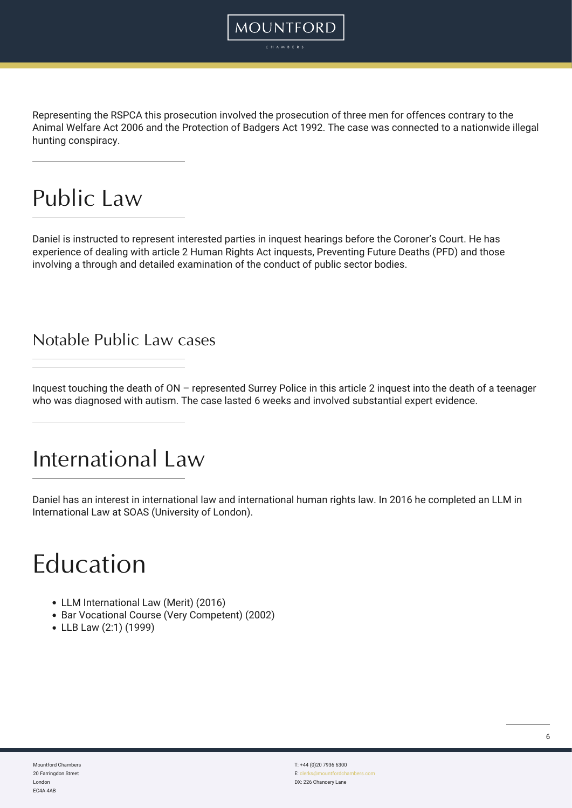Representing the RSPCA this prosecution involved the prosecution of three men for offences contrary to the Animal Welfare Act 2006 and the Protection of Badgers Act 1992. The case was connected to a nationwide illegal hunting conspiracy.

**MOUNTFORD** 

### Public Law

Daniel is instructed to represent interested parties in inquest hearings before the Coroner's Court. He has experience of dealing with article 2 Human Rights Act inquests, Preventing Future Deaths (PFD) and those involving a through and detailed examination of the conduct of public sector bodies.

### Notable Public Law cases

Inquest touching the death of ON – represented Surrey Police in this article 2 inquest into the death of a teenager who was diagnosed with autism. The case lasted 6 weeks and involved substantial expert evidence.

### International Law

Daniel has an interest in international law and international human rights law. In 2016 he completed an LLM in International Law at SOAS (University of London).

## Education

- LLM International Law (Merit) (2016)
- Bar Vocational Course (Very Competent) (2002)
- LLB Law (2:1) (1999)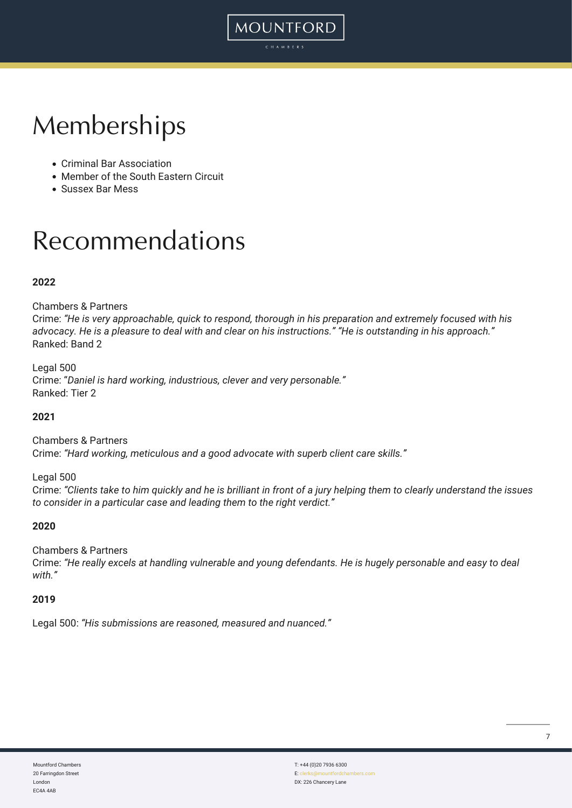## Memberships

- Criminal Bar Association
- Member of the South Eastern Circuit
- Sussex Bar Mess

## Recommendations

### **2022**

### Chambers & Partners

Crime: *"He is very approachable, quick to respond, thorough in his preparation and extremely focused with his advocacy. He is a pleasure to deal with and clear on his instructions." "He is outstanding in his approach."* Ranked: Band 2

MOUNTFORD

Legal 500 Crime: "*Daniel is hard working, industrious, clever and very personable."* Ranked: Tier 2

#### **2021**

Chambers & Partners Crime: *"Hard working, meticulous and a good advocate with superb client care skills."*

Legal 500

Crime: *"Clients take to him quickly and he is brilliant in front of a jury helping them to clearly understand the issues to consider in a particular case and leading them to the right verdict."*

#### **2020**

#### Chambers & Partners

Crime: *"He really excels at handling vulnerable and young defendants. He is hugely personable and easy to deal with."*

#### **2019**

Legal 500: *"His submissions are reasoned, measured and nuanced."*